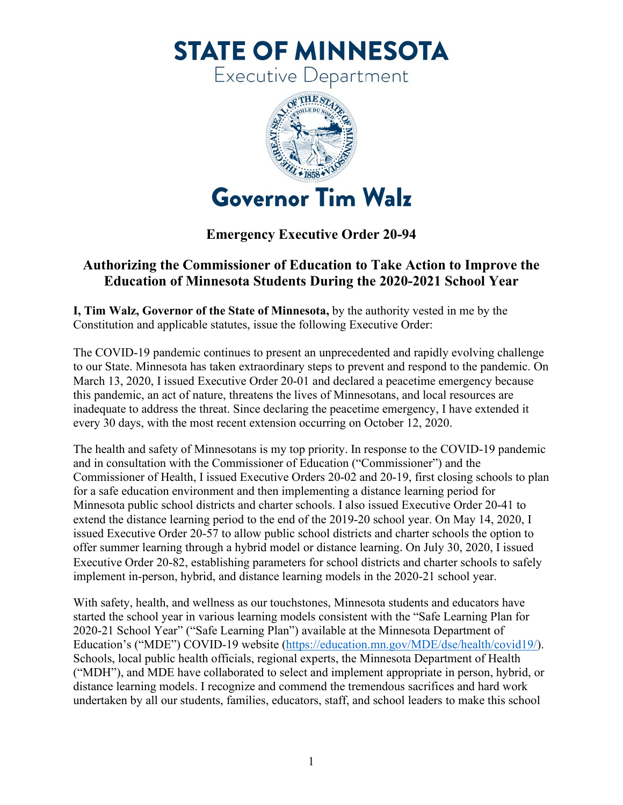**STATE OF MINNESOTA** 

Executive Department



## **Emergency Executive Order 20-94**

## **Authorizing the Commissioner of Education to Take Action to Improve the Education of Minnesota Students During the 2020-2021 School Year**

**I, Tim Walz, Governor of the State of Minnesota,** by the authority vested in me by the Constitution and applicable statutes, issue the following Executive Order:

The COVID-19 pandemic continues to present an unprecedented and rapidly evolving challenge to our State. Minnesota has taken extraordinary steps to prevent and respond to the pandemic. On March 13, 2020, I issued Executive Order 20-01 and declared a peacetime emergency because this pandemic, an act of nature, threatens the lives of Minnesotans, and local resources are inadequate to address the threat. Since declaring the peacetime emergency, I have extended it every 30 days, with the most recent extension occurring on October 12, 2020.

The health and safety of Minnesotans is my top priority. In response to the COVID-19 pandemic and in consultation with the Commissioner of Education ("Commissioner") and the Commissioner of Health, I issued Executive Orders 20-02 and 20-19, first closing schools to plan for a safe education environment and then implementing a distance learning period for Minnesota public school districts and charter schools. I also issued Executive Order 20-41 to extend the distance learning period to the end of the 2019-20 school year. On May 14, 2020, I issued Executive Order 20-57 to allow public school districts and charter schools the option to offer summer learning through a hybrid model or distance learning. On July 30, 2020, I issued Executive Order 20-82, establishing parameters for school districts and charter schools to safely implement in-person, hybrid, and distance learning models in the 2020-21 school year.

With safety, health, and wellness as our touchstones, Minnesota students and educators have started the school year in various learning models consistent with the "Safe Learning Plan for 2020-21 School Year" ("Safe Learning Plan") available at the Minnesota Department of Education's ("MDE") COVID-19 website [\(https://education.mn.gov/MDE/dse/health/covid19/\)](https://education.mn.gov/MDE/dse/health/covid19/). Schools, local public health officials, regional experts, the Minnesota Department of Health ("MDH"), and MDE have collaborated to select and implement appropriate in person, hybrid, or distance learning models. I recognize and commend the tremendous sacrifices and hard work undertaken by all our students, families, educators, staff, and school leaders to make this school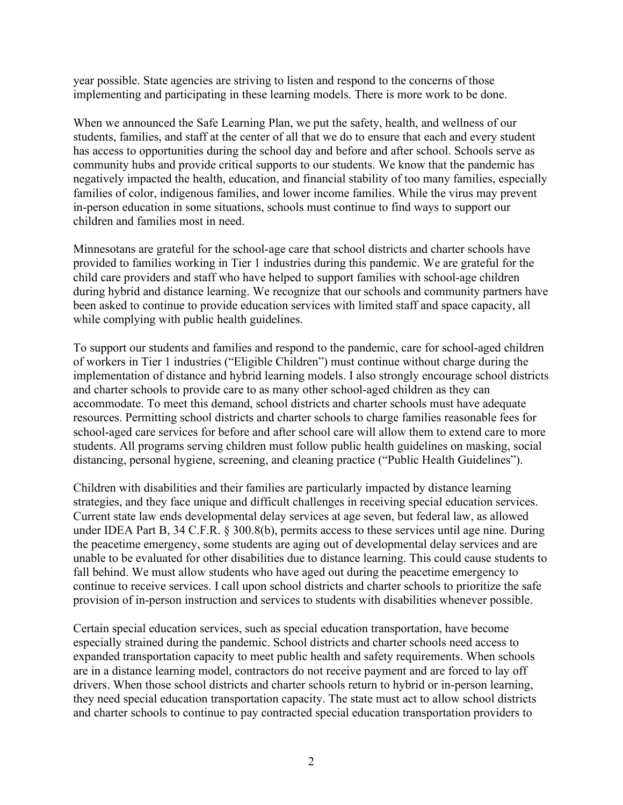year possible. State agencies are striving to listen and respond to the concerns of those implementing and participating in these learning models. There is more work to be done.

When we announced the Safe Learning Plan, we put the safety, health, and wellness of our students, families, and staff at the center of all that we do to ensure that each and every student has access to opportunities during the school day and before and after school. Schools serve as community hubs and provide critical supports to our students. We know that the pandemic has negatively impacted the health, education, and financial stability of too many families, especially families of color, indigenous families, and lower income families. While the virus may prevent in-person education in some situations, schools must continue to find ways to support our children and families most in need.

Minnesotans are grateful for the school-age care that school districts and charter schools have provided to families working in Tier 1 industries during this pandemic. We are grateful for the child care providers and staff who have helped to support families with school-age children during hybrid and distance learning. We recognize that our schools and community partners have been asked to continue to provide education services with limited staff and space capacity, all while complying with public health guidelines.

To support our students and families and respond to the pandemic, care for school-aged children of workers in Tier 1 industries ("Eligible Children") must continue without charge during the implementation of distance and hybrid learning models. I also strongly encourage school districts and charter schools to provide care to as many other school-aged children as they can accommodate. To meet this demand, school districts and charter schools must have adequate resources. Permitting school districts and charter schools to charge families reasonable fees for school-aged care services for before and after school care will allow them to extend care to more students. All programs serving children must follow public health guidelines on masking, social distancing, personal hygiene, screening, and cleaning practice ("Public Health Guidelines").

Children with disabilities and their families are particularly impacted by distance learning strategies, and they face unique and difficult challenges in receiving special education services. Current state law ends developmental delay services at age seven, but federal law, as allowed under IDEA Part B, 34 C.F.R. § 300.8(b), permits access to these services until age nine. During the peacetime emergency, some students are aging out of developmental delay services and are unable to be evaluated for other disabilities due to distance learning. This could cause students to fall behind. We must allow students who have aged out during the peacetime emergency to continue to receive services. I call upon school districts and charter schools to prioritize the safe provision of in-person instruction and services to students with disabilities whenever possible.

Certain special education services, such as special education transportation, have become especially strained during the pandemic. School districts and charter schools need access to expanded transportation capacity to meet public health and safety requirements. When schools are in a distance learning model, contractors do not receive payment and are forced to lay off drivers. When those school districts and charter schools return to hybrid or in-person learning, they need special education transportation capacity. The state must act to allow school districts and charter schools to continue to pay contracted special education transportation providers to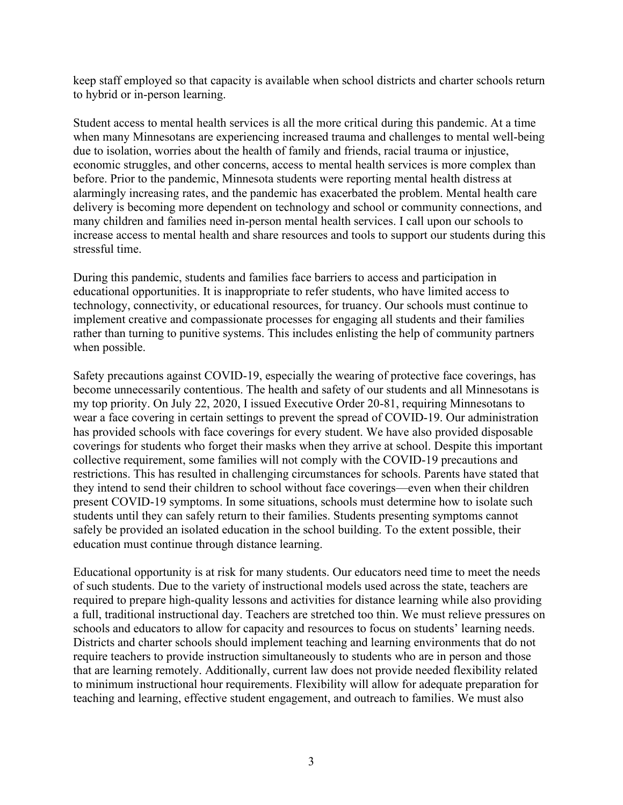keep staff employed so that capacity is available when school districts and charter schools return to hybrid or in-person learning.

Student access to mental health services is all the more critical during this pandemic. At a time when many Minnesotans are experiencing increased trauma and challenges to mental well-being due to isolation, worries about the health of family and friends, racial trauma or injustice, economic struggles, and other concerns, access to mental health services is more complex than before. Prior to the pandemic, Minnesota students were reporting mental health distress at alarmingly increasing rates, and the pandemic has exacerbated the problem. Mental health care delivery is becoming more dependent on technology and school or community connections, and many children and families need in-person mental health services. I call upon our schools to increase access to mental health and share resources and tools to support our students during this stressful time.

During this pandemic, students and families face barriers to access and participation in educational opportunities. It is inappropriate to refer students, who have limited access to technology, connectivity, or educational resources, for truancy. Our schools must continue to implement creative and compassionate processes for engaging all students and their families rather than turning to punitive systems. This includes enlisting the help of community partners when possible.

Safety precautions against COVID-19, especially the wearing of protective face coverings, has become unnecessarily contentious. The health and safety of our students and all Minnesotans is my top priority. On July 22, 2020, I issued Executive Order 20-81, requiring Minnesotans to wear a face covering in certain settings to prevent the spread of COVID-19. Our administration has provided schools with face coverings for every student. We have also provided disposable coverings for students who forget their masks when they arrive at school. Despite this important collective requirement, some families will not comply with the COVID-19 precautions and restrictions. This has resulted in challenging circumstances for schools. Parents have stated that they intend to send their children to school without face coverings—even when their children present COVID-19 symptoms. In some situations, schools must determine how to isolate such students until they can safely return to their families. Students presenting symptoms cannot safely be provided an isolated education in the school building. To the extent possible, their education must continue through distance learning.

Educational opportunity is at risk for many students. Our educators need time to meet the needs of such students. Due to the variety of instructional models used across the state, teachers are required to prepare high-quality lessons and activities for distance learning while also providing a full, traditional instructional day. Teachers are stretched too thin. We must relieve pressures on schools and educators to allow for capacity and resources to focus on students' learning needs. Districts and charter schools should implement teaching and learning environments that do not require teachers to provide instruction simultaneously to students who are in person and those that are learning remotely. Additionally, current law does not provide needed flexibility related to minimum instructional hour requirements. Flexibility will allow for adequate preparation for teaching and learning, effective student engagement, and outreach to families. We must also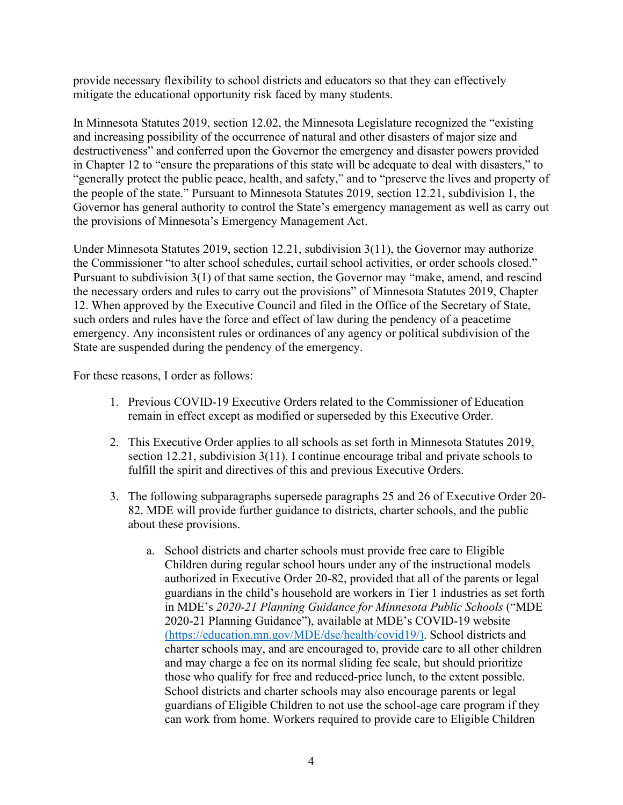provide necessary flexibility to school districts and educators so that they can effectively mitigate the educational opportunity risk faced by many students.

In Minnesota Statutes 2019, section 12.02, the Minnesota Legislature recognized the "existing and increasing possibility of the occurrence of natural and other disasters of major size and destructiveness" and conferred upon the Governor the emergency and disaster powers provided in Chapter 12 to "ensure the preparations of this state will be adequate to deal with disasters," to "generally protect the public peace, health, and safety," and to "preserve the lives and property of the people of the state." Pursuant to Minnesota Statutes 2019, section 12.21, subdivision 1, the Governor has general authority to control the State's emergency management as well as carry out the provisions of Minnesota's Emergency Management Act.

Under Minnesota Statutes 2019, section 12.21, subdivision 3(11), the Governor may authorize the Commissioner "to alter school schedules, curtail school activities, or order schools closed." Pursuant to subdivision 3(1) of that same section, the Governor may "make, amend, and rescind the necessary orders and rules to carry out the provisions" of Minnesota Statutes 2019, Chapter 12. When approved by the Executive Council and filed in the Office of the Secretary of State, such orders and rules have the force and effect of law during the pendency of a peacetime emergency. Any inconsistent rules or ordinances of any agency or political subdivision of the State are suspended during the pendency of the emergency.

For these reasons, I order as follows:

- 1. Previous COVID-19 Executive Orders related to the Commissioner of Education remain in effect except as modified or superseded by this Executive Order.
- 2. This Executive Order applies to all schools as set forth in Minnesota Statutes 2019, section 12.21, subdivision 3(11). I continue encourage tribal and private schools to fulfill the spirit and directives of this and previous Executive Orders.
- 3. The following subparagraphs supersede paragraphs 25 and 26 of Executive Order 20- 82. MDE will provide further guidance to districts, charter schools, and the public about these provisions.
	- a. School districts and charter schools must provide free care to Eligible Children during regular school hours under any of the instructional models authorized in Executive Order 20-82, provided that all of the parents or legal guardians in the child's household are workers in Tier 1 industries as set forth in MDE's *2020-21 Planning Guidance for Minnesota Public Schools* ("MDE 2020-21 Planning Guidance"), available at MDE's COVID-19 website [\(https://education.mn.gov/MDE/dse/health/covid19/\)](https://education.mn.gov/MDE/dse/health/covid19/). School districts and charter schools may, and are encouraged to, provide care to all other children and may charge a fee on its normal sliding fee scale, but should prioritize those who qualify for free and reduced-price lunch, to the extent possible. School districts and charter schools may also encourage parents or legal guardians of Eligible Children to not use the school-age care program if they can work from home. Workers required to provide care to Eligible Children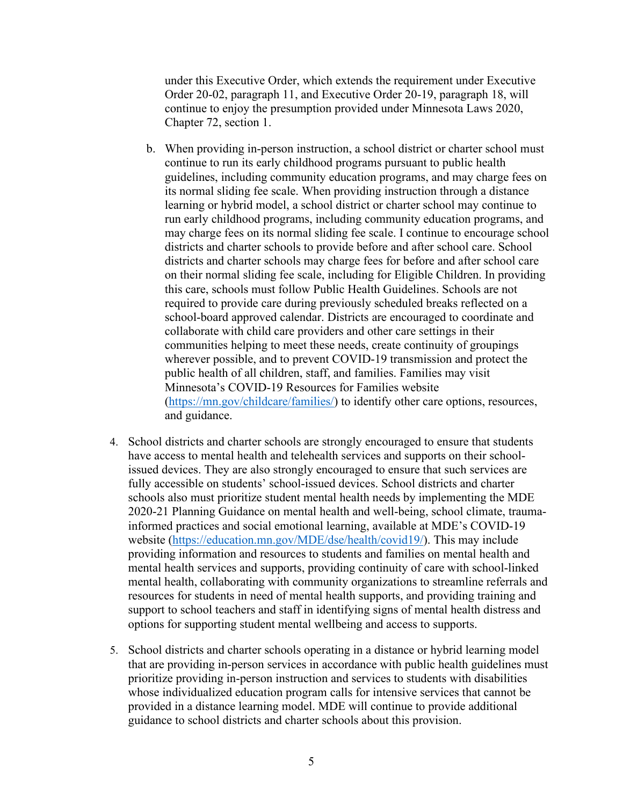under this Executive Order, which extends the requirement under Executive Order 20-02, paragraph 11, and Executive Order 20-19, paragraph 18, will continue to enjoy the presumption provided under Minnesota Laws 2020, Chapter 72, section 1.

- b. When providing in-person instruction, a school district or charter school must continue to run its early childhood programs pursuant to public health guidelines, including community education programs, and may charge fees on its normal sliding fee scale. When providing instruction through a distance learning or hybrid model, a school district or charter school may continue to run early childhood programs, including community education programs, and may charge fees on its normal sliding fee scale. I continue to encourage school districts and charter schools to provide before and after school care. School districts and charter schools may charge fees for before and after school care on their normal sliding fee scale, including for Eligible Children. In providing this care, schools must follow Public Health Guidelines. Schools are not required to provide care during previously scheduled breaks reflected on a school-board approved calendar. Districts are encouraged to coordinate and collaborate with child care providers and other care settings in their communities helping to meet these needs, create continuity of groupings wherever possible, and to prevent COVID-19 transmission and protect the public health of all children, staff, and families. Families may visit Minnesota's COVID-19 Resources for Families website [\(https://mn.gov/childcare/families/\)](https://mn.gov/childcare/families/) to identify other care options, resources, and guidance.
- 4. School districts and charter schools are strongly encouraged to ensure that students have access to mental health and telehealth services and supports on their schoolissued devices. They are also strongly encouraged to ensure that such services are fully accessible on students' school-issued devices. School districts and charter schools also must prioritize student mental health needs by implementing the MDE 2020-21 Planning Guidance on mental health and well-being, school climate, traumainformed practices and social emotional learning, available at MDE's COVID-19 website [\(https://education.mn.gov/MDE/dse/health/covid19/\)](https://education.mn.gov/MDE/dse/health/covid19/). This may include providing information and resources to students and families on mental health and mental health services and supports, providing continuity of care with school-linked mental health, collaborating with community organizations to streamline referrals and resources for students in need of mental health supports, and providing training and support to school teachers and staff in identifying signs of mental health distress and options for supporting student mental wellbeing and access to supports.
- 5. School districts and charter schools operating in a distance or hybrid learning model that are providing in-person services in accordance with public health guidelines must prioritize providing in-person instruction and services to students with disabilities whose individualized education program calls for intensive services that cannot be provided in a distance learning model. MDE will continue to provide additional guidance to school districts and charter schools about this provision.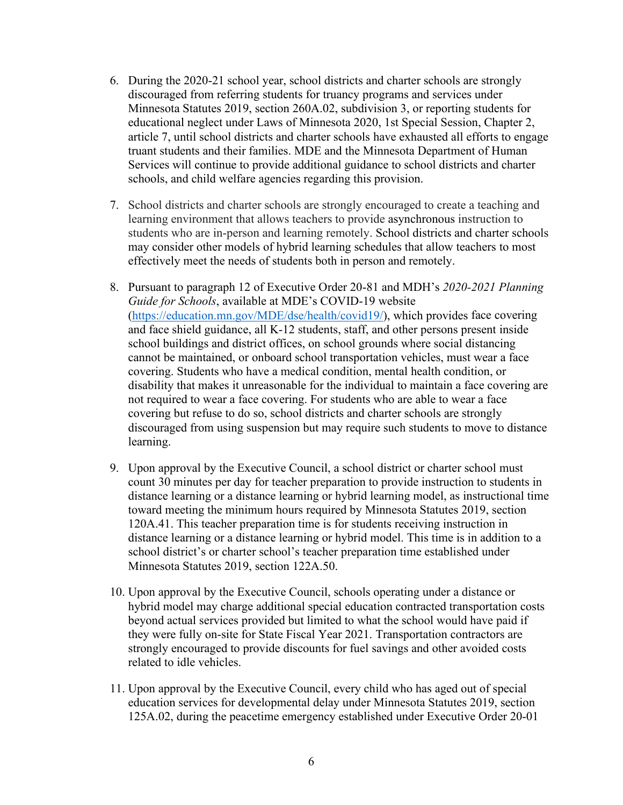- 6. During the 2020-21 school year, school districts and charter schools are strongly discouraged from referring students for truancy programs and services under Minnesota Statutes 2019, section 260A.02, subdivision 3, or reporting students for educational neglect under Laws of Minnesota 2020, 1st Special Session, Chapter 2, article 7, until school districts and charter schools have exhausted all efforts to engage truant students and their families. MDE and the Minnesota Department of Human Services will continue to provide additional guidance to school districts and charter schools, and child welfare agencies regarding this provision.
- 7. School districts and charter schools are strongly encouraged to create a teaching and learning environment that allows teachers to provide asynchronous instruction to students who are in-person and learning remotely. School districts and charter schools may consider other models of hybrid learning schedules that allow teachers to most effectively meet the needs of students both in person and remotely.
- 8. Pursuant to paragraph 12 of Executive Order 20-81 and MDH's *2020-2021 Planning Guide for Schools*, available at MDE's COVID-19 website [\(https://education.mn.gov/MDE/dse/health/covid19/\)](https://education.mn.gov/MDE/dse/health/covid19/), which provides [face covering](https://www.health.state.mn.us/diseases/coronavirus/schools/k12planguide.pdf)  [and face shield guidance,](https://www.health.state.mn.us/diseases/coronavirus/schools/k12planguide.pdf) all K-12 students, staff, and other persons present inside school buildings and district offices, on school grounds where social distancing cannot be maintained, or onboard school transportation vehicles, must wear a face covering. Students who have a medical condition, mental health condition, or disability that makes it unreasonable for the individual to maintain a face covering are not required to wear a face covering. For students who are able to wear a face covering but refuse to do so, school districts and charter schools are strongly discouraged from using suspension but may require such students to move to distance learning.
- 9. Upon approval by the Executive Council, a school district or charter school must count 30 minutes per day for teacher preparation to provide instruction to students in distance learning or a distance learning or hybrid learning model, as instructional time toward meeting the minimum hours required by Minnesota Statutes 2019, section 120A.41. This teacher preparation time is for students receiving instruction in distance learning or a distance learning or hybrid model. This time is in addition to a school district's or charter school's teacher preparation time established under Minnesota Statutes 2019, section 122A.50.
- 10. Upon approval by the Executive Council, schools operating under a distance or hybrid model may charge additional special education contracted transportation costs beyond actual services provided but limited to what the school would have paid if they were fully on-site for State Fiscal Year 2021. Transportation contractors are strongly encouraged to provide discounts for fuel savings and other avoided costs related to idle vehicles.
- 11. Upon approval by the Executive Council, every child who has aged out of special education services for developmental delay under Minnesota Statutes 2019, section 125A.02, during the peacetime emergency established under Executive Order 20-01